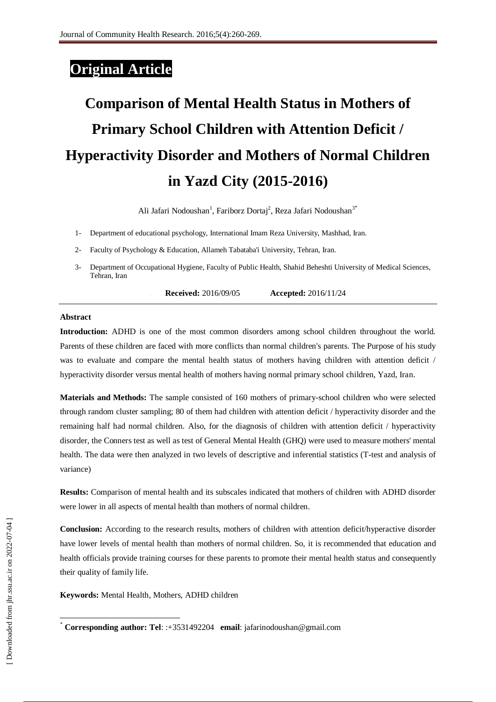# **Original Article**

# **Comparison of Mental Health Status in Mothers of Primary School Children with Attention Deficit / Hyperactivity Disorder and Mothers of Normal Children in Yazd City (2015-2016)**

Ali Jafari Nodoushan<sup>1</sup>, Fariborz Dortaj<sup>2</sup>, Reza Jafari Nodoushan<sup>3\*</sup>

- 1- Department of educational psychology, International Imam Reza University, Mashhad, Iran.
- 2- Faculty of Psychology & Education, Allameh Tabataba'i University, Tehran, Iran.
- 3- Department of Occupational Hygiene, Faculty of Public Health, Shahid Beheshti University of Medical Sciences, Tehran, Iran

**1. Received:** 2016/09/05 **Accepted:** 2016/11/24

#### **Abstract**

**Introduction:** ADHD is one of the most common disorders among school children throughout the world. Parents of these children are faced with more conflicts than normal children's parents. The Purpose of his study was to evaluate and compare the mental health status of mothers having children with attention deficit / hyperactivity disorder versus mental health of mothers having normal primary school children, Yazd, Iran.

**Materials and Methods:** The sample consisted of 160 mothers of primary-school children who were selected through random cluster sampling; 80 of them had children with attention deficit / hyperactivity disorder and the remaining half had normal children. Also, for the diagnosis of children with attention deficit / hyperactivity disorder, the Conners test as well as test of General Mental Health (GHQ) were used to measure mothers' mental health. The data were then analyzed in two levels of descriptive and inferential statistics (T-test and analysis of variance)

**Results:** Comparison of mental health and its subscales indicated that mothers of children with ADHD disorder were lower in all aspects of mental health than mothers of normal children.

**Conclusion:** According to the research results, mothers of children with attention deficit/hyperactive disorder have lower levels of mental health than mothers of normal children. So, it is recommended that education and health officials provide training courses for these parents to promote their mental health status and consequently their quality of family life.

**Keywords:** Mental Health, Mothers, ADHD children

-

<sup>٭</sup> **Corresponding author: Tel**: :+3531492204 **email**: jafarinodoushan@gmail.com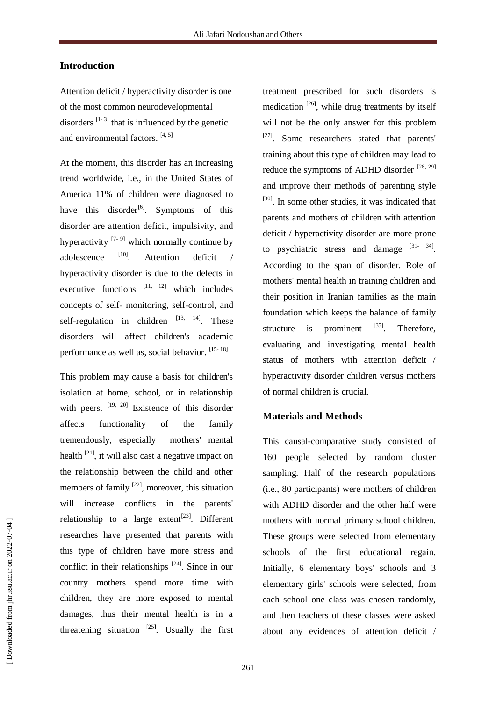# **Introduction**

Attention deficit / hyperactivity disorder is one of the most common neurodevelopmental disorders  $[1-3]$  that is influenced by the genetic and environmental factors. [4, 5]

At the moment, this disorder has an increasing trend worldwide, i.e., in the United States of America 11% of children were diagnosed to have this disorder<sup>[6]</sup>. Symptoms of this disorder are attention deficit, impulsivity, and hyperactivity  $[7-9]$  which normally continue by adolescence [10] . Attention deficit / hyperactivity disorder is due to the defects in executive functions  $[11, 12]$  which includes concepts of self- monitoring, self-control, and self-regulation in children  $[13, 14]$ . These disorders will affect children's academic performance as well as, social behavior. [15-18]

This problem may cause a basis for children's isolation at home, school, or in relationship with peers. <sup>[19, 20]</sup> Existence of this disorder affects functionality of the family tremendously, especially mothers' mental health  $[21]$ , it will also cast a negative impact on the relationship between the child and other members of family  $^{[22]}$ , moreover, this situation will increase conflicts in the parents' relationship to a large extent<sup>[23]</sup>. Different researches have presented that parents with this type of children have more stress and conflict in their relationships  $[24]$ . Since in our country mothers spend more time with children, they are more exposed to mental damages, thus their mental health is in a threatening situation  $^{[25]}$ . Usually the first treatment prescribed for such disorders is medication<sup>[26]</sup>, while drug treatments by itself will not be the only answer for this problem [27]. Some researchers stated that parents' training about this type of children may lead to reduce the symptoms of ADHD disorder  $^{[28, 29]}$ and improve their methods of parenting style [30]. In some other studies, it was indicated that parents and mothers of children with attention deficit / hyperactivity disorder are more prone to psychiatric stress and damage  $[31 - 34]$ . According to the span of disorder. Role of mothers' mental health in training children and their position in Iranian families as the main foundation which keeps the balance of family structure is prominent  $^{[35]}$ . Therefore, evaluating and investigating mental health status of mothers with attention deficit / hyperactivity disorder children versus mothers of normal children is crucial.

# **Materials and Methods**

This causal-comparative study consisted of 160 people selected by random cluster sampling. Half of the research populations (i.e., 80 participants) were mothers of children with ADHD disorder and the other half were mothers with normal primary school children. These groups were selected from elementary schools of the first educational regain. Initially, 6 elementary boys' schools and 3 elementary girls' schools were selected, from each school one class was chosen randomly, and then teachers of these classes were asked about any evidences of attention deficit /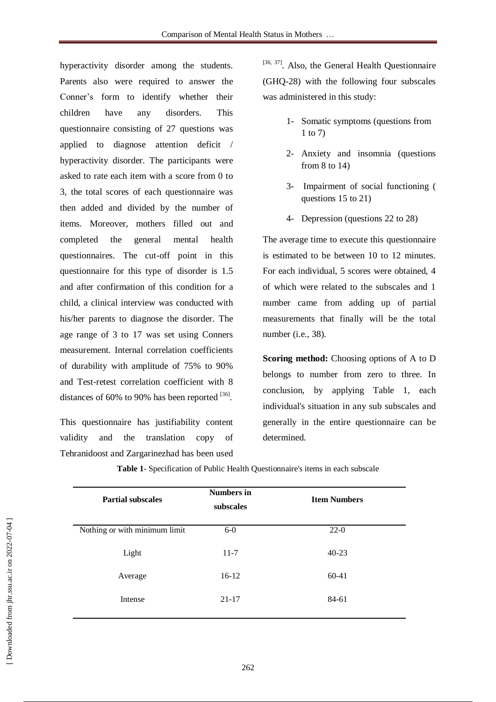hyperactivity disorder among the students. Parents also were required to answer the Conner's form to identify whether their children have any disorders. This questionnaire consisting of 27 questions was applied to diagnose attention deficit / hyperactivity disorder. The participants were asked to rate each item with a score from 0 to 3, the total scores of each questionnaire was then added and divided by the number of items. Moreover, mothers filled out and completed the general mental health questionnaires. The cut-off point in this questionnaire for this type of disorder is 1.5 and after confirmation of this condition for a child, a clinical interview was conducted with his/her parents to diagnose the disorder. The age range of 3 to 17 was set using Conners measurement. Internal correlation coefficients of durability with amplitude of 75% to 90% and Test-retest correlation coefficient with 8 distances of 60% to 90% has been reported  $^{[36]}$ .

This questionnaire has justifiability content validity and the translation copy of Tehranidoost and Zargarinezhad has been used [36, 37]. Also, the General Health Questionnaire (GHQ-28) with the following four subscales was administered in this study:

- 1- Somatic symptoms (questions from 1 to 7)
- 2- Anxiety and insomnia (questions from 8 to 14)
- 3- Impairment of social functioning ( questions 15 to 21)
- 4- Depression (questions 22 to 28)

The average time to execute this questionnaire is estimated to be between 10 to 12 minutes. For each individual, 5 scores were obtained, 4 of which were related to the subscales and 1 number came from adding up of partial measurements that finally will be the total number (i.e., 38).

**Scoring method:** Choosing options of A to D belongs to number from zero to three. In conclusion, by applying Table 1, each individual's situation in any sub subscales and generally in the entire questionnaire can be determined.

| <b>Partial subscales</b>      | <b>Numbers in</b><br>subscales | <b>Item Numbers</b> |
|-------------------------------|--------------------------------|---------------------|
| Nothing or with minimum limit | $6-0$                          | $22-0$              |
| Light                         | $11 - 7$                       | $40 - 23$           |
| Average                       | $16-12$                        | $60-41$             |
| Intense                       | $21 - 17$                      | 84-61               |

**Table 1**- Specification of Public Health Questionnaire's items in each subscale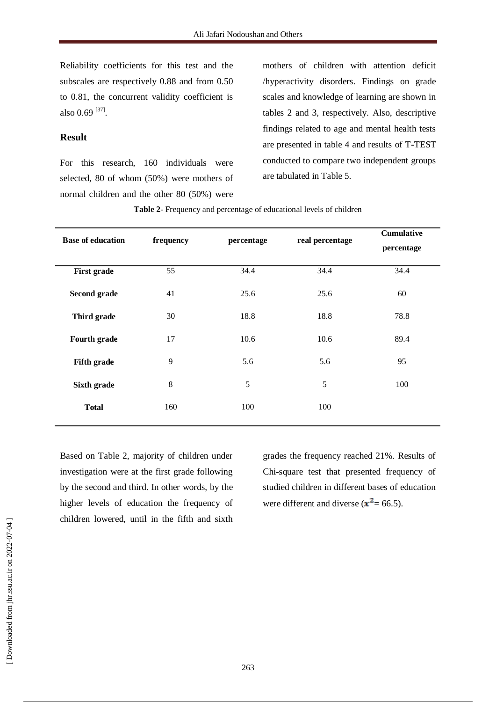Reliability coefficients for this test and the subscales are respectively 0.88 and from 0.50 to 0.81, the concurrent validity coefficient is also  $0.69$ <sup>[37]</sup>.

# **Result**

For this research, 160 individuals were selected, 80 of whom (50%) were mothers of normal children and the other 80 (50%) were

mothers of children with attention deficit /hyperactivity disorders. Findings on grade scales and knowledge of learning are shown in tables 2 and 3, respectively. Also, descriptive findings related to age and mental health tests are presented in table 4 and results of T-TEST conducted to compare two independent groups are tabulated in Table 5.

| <b>Base of education</b> | frequency | percentage | real percentage | <b>Cumulative</b><br>percentage |  |
|--------------------------|-----------|------------|-----------------|---------------------------------|--|
| <b>First grade</b>       | 55        | 34.4       | 34.4            | 34.4                            |  |
| Second grade             | 41        | 25.6       | 25.6            | 60                              |  |
| Third grade              | 30        | 18.8       | 18.8            | 78.8                            |  |
| Fourth grade             | 17        | 10.6       | 10.6            | 89.4                            |  |
| <b>Fifth grade</b>       | 9         | 5.6        | 5.6             | 95                              |  |
| Sixth grade              | $8\,$     | 5          | 5               | 100                             |  |
| <b>Total</b>             | 160       | 100        | 100             |                                 |  |

**Table 2**- Frequency and percentage of educational levels of children

Based on Table 2, majority of children under investigation were at the first grade following by the second and third. In other words, by the higher levels of education the frequency of children lowered, until in the fifth and sixth

grades the frequency reached 21%. Results of Chi-square test that presented frequency of studied children in different bases of education were different and diverse  $(x^2 = 66.5)$ .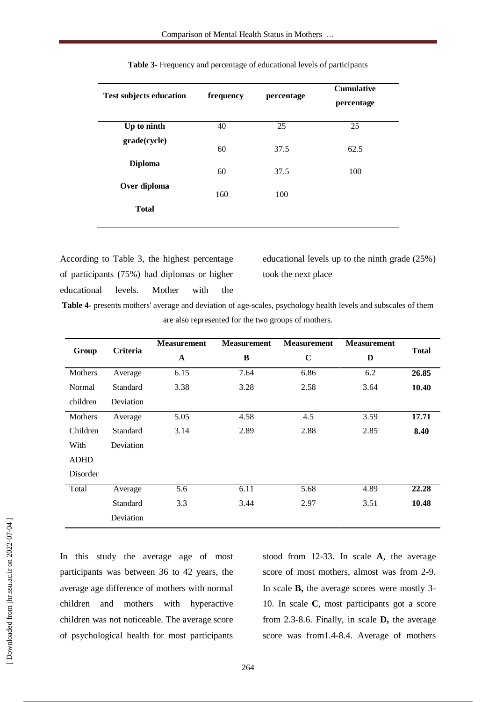| <b>Test subjects education</b> | frequency | percentage | <b>Cumulative</b><br>percentage |
|--------------------------------|-----------|------------|---------------------------------|
| Up to ninth                    | 40        | 25         | 25                              |
| grade(cycle)                   | 60        | 37.5       | 62.5                            |
| <b>Diploma</b>                 | 60        | 37.5       | 100                             |
| Over diploma                   | 160       | 100        |                                 |
| <b>Total</b>                   |           |            |                                 |
|                                |           |            |                                 |

| Table 3- Frequency and percentage of educational levels of participants |
|-------------------------------------------------------------------------|
|-------------------------------------------------------------------------|

According to Table 3, the highest percentage of participants (75%) had diplomas or higher educational levels. Mother with the educational levels up to the ninth grade (25%) took the next place

**Table 4-** presents mothers' average and deviation of age-scales, psychology health levels and subscales of them are also represented for the two groups of mothers.

| Group       | <b>Criteria</b> | <b>Measurement</b> | <b>Measurement</b> | <b>Measurement</b> | <b>Measurement</b> |              |
|-------------|-----------------|--------------------|--------------------|--------------------|--------------------|--------------|
|             |                 | $\mathbf A$        | B                  | $\mathbf C$        | D                  | <b>Total</b> |
| Mothers     | Average         | 6.15               | 7.64               | 6.86               | 6.2                | 26.85        |
| Normal      | Standard        | 3.38               | 3.28               | 2.58               | 3.64               | 10.40        |
| children    | Deviation       |                    |                    |                    |                    |              |
| Mothers     | Average         | 5.05               | 4.58               | 4.5                | 3.59               | 17.71        |
| Children    | Standard        | 3.14               | 2.89               | 2.88               | 2.85               | 8.40         |
| With        | Deviation       |                    |                    |                    |                    |              |
| <b>ADHD</b> |                 |                    |                    |                    |                    |              |
| Disorder    |                 |                    |                    |                    |                    |              |
| Total       | Average         | 5.6                | 6.11               | 5.68               | 4.89               | 22.28        |
|             | Standard        | 3.3                | 3.44               | 2.97               | 3.51               | 10.48        |
|             | Deviation       |                    |                    |                    |                    |              |

In this study the average age of most participants was between 36 to 42 years, the average age difference of mothers with normal children and mothers with hyperactive children was not noticeable. The average score of psychological health for most participants

stood from 12-33. In scale **A**, the average score of most mothers, almost was from 2-9. In scale **B,** the average scores were mostly 3- 10. In scale **C**, most participants got a score from 2.3-8.6. Finally, in scale **D,** the average score was from1.4-8.4. Average of mothers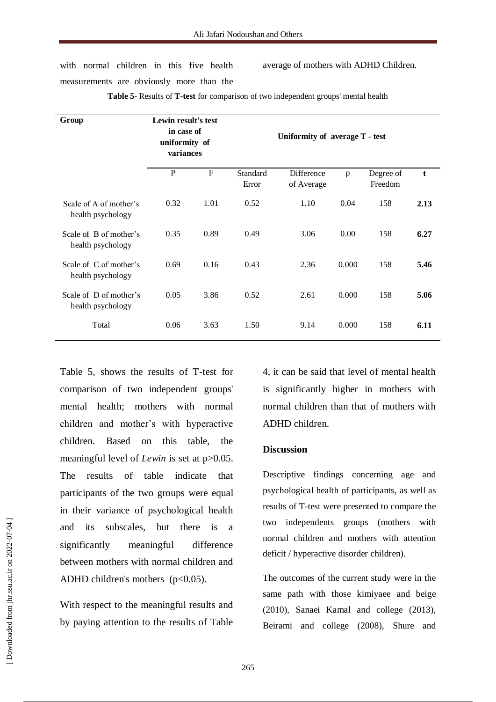with normal children in this five health measurements are obviously more than the average of mothers with ADHD Children.

| Group                                       | Lewin result's test<br>in case of<br>uniformity of<br>variances |             | Uniformity of average T - test |                          |       |                      |      |
|---------------------------------------------|-----------------------------------------------------------------|-------------|--------------------------------|--------------------------|-------|----------------------|------|
|                                             | $\mathbf{P}$                                                    | $\mathbf F$ | Standard<br>Error              | Difference<br>of Average | p     | Degree of<br>Freedom | t    |
| Scale of A of mother's<br>health psychology | 0.32                                                            | 1.01        | 0.52                           | 1.10                     | 0.04  | 158                  | 2.13 |
| Scale of B of mother's<br>health psychology | 0.35                                                            | 0.89        | 0.49                           | 3.06                     | 0.00  | 158                  | 6.27 |
| Scale of C of mother's<br>health psychology | 0.69                                                            | 0.16        | 0.43                           | 2.36                     | 0.000 | 158                  | 5.46 |
| Scale of D of mother's<br>health psychology | 0.05                                                            | 3.86        | 0.52                           | 2.61                     | 0.000 | 158                  | 5.06 |
| Total                                       | 0.06                                                            | 3.63        | 1.50                           | 9.14                     | 0.000 | 158                  | 6.11 |

**Table 5-** Results of **T-test** for comparison of two independent groups' mental health

Table 5, shows the results of T-test for comparison of two independent groups' mental health; mothers with normal children and mother's with hyperactive children. Based on this table, the meaningful level of *Lewin* is set at  $p > 0.05$ . The results of table indicate that participants of the two groups were equal in their variance of psychological health and its subscales, but there is a significantly meaningful difference between mothers with normal children and ADHD children's mothers  $(p<0.05)$ .

With respect to the meaningful results and by paying attention to the results of Table

4, it can be said that level of mental health is significantly higher in mothers with normal children than that of mothers with ADHD children.

#### **Discussion**

Descriptive findings concerning age and psychological health of participants, as well as results of T-test were presented to compare the two independents groups (mothers with normal children and mothers with attention deficit / hyperactive disorder children).

The outcomes of the current study were in the same path with those kimiyaee and beige (2010), Sanaei Kamal and college (2013), Beirami and college (2008), Shure and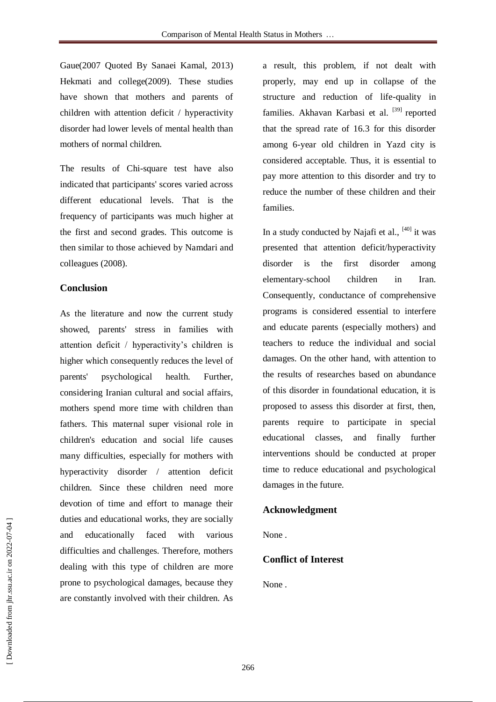Gaue(2007 Quoted By Sanaei Kamal, 2013) Hekmati and college(2009). These studies have shown that mothers and parents of children with attention deficit / hyperactivity disorder had lower levels of mental health than mothers of normal children.

The results of Chi-square test have also indicated that participants' scores varied across different educational levels. That is the frequency of participants was much higher at the first and second grades. This outcome is then similar to those achieved by Namdari and colleagues (2008).

# **Conclusion**

As the literature and now the current study showed, parents' stress in families with attention deficit / hyperactivity's children is higher which consequently reduces the level of parents' psychological health. Further, considering Iranian cultural and social affairs, mothers spend more time with children than fathers. This maternal super visional role in children's education and social life causes many difficulties, especially for mothers with hyperactivity disorder / attention deficit children. Since these children need more devotion of time and effort to manage their duties and educational works, they are socially and educationally faced with various difficulties and challenges. Therefore, mothers dealing with this type of children are more prone to psychological damages, because they are constantly involved with their children. As

a result, this problem, if not dealt with properly, may end up in collapse of the structure and reduction of life-quality in families. Akhavan Karbasi et al. <sup>[39]</sup> reported that the spread rate of 16.3 for this disorder among 6-year old children in Yazd city is considered acceptable. Thus, it is essential to pay more attention to this disorder and try to reduce the number of these children and their families.

In a study conducted by Najafi et al.,  $[40]$  it was presented that attention deficit/hyperactivity disorder is the first disorder among elementary-school children in Iran. Consequently, conductance of comprehensive programs is considered essential to interfere and educate parents (especially mothers) and teachers to reduce the individual and social damages. On the other hand, with attention to the results of researches based on abundance of this disorder in foundational education, it is proposed to assess this disorder at first, then, parents require to participate in special educational classes, and finally further interventions should be conducted at proper time to reduce educational and psychological damages in the future.

# **Acknowledgment**

None .

# **Conflict of Interest**

None .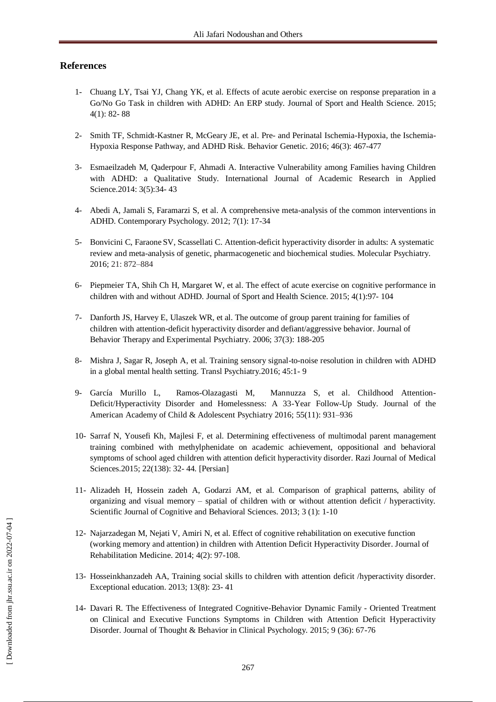# **References**

- 1- [Chuang](http://www.sciencedirect.com/science/article/pii/S2095254614001240) LY, Tsai YJ, Chang [YK,](http://www.sciencedirect.com/science/article/pii/S2095254614001240) et al. Effects of acute aerobic exercise on response preparation in a Go/No Go Task in children with ADHD: An ERP study. Journal of Sport and Health [Science.](http://www.sciencedirect.com/science/journal/20952546) 2015; 4(1): 82- 88
- 2- Smith TF, Schmidt-Kastner R, McGeary JE, et al. Pre- and Perinatal Ischemia-Hypoxia, the Ischemia-Hypoxia Response Pathway, and ADHD Risk. Behavior Genetic. 2016; 46(3): 467-477
- 3- Esmaeilzadeh M, Qaderpour F, Ahmadi A. Interactive Vulnerability among Families having Children with ADHD: a Qualitative Study. International Journal of Academic Research in Applied Science.2014: 3(5):34- 43
- 4- Abedi A, Jamali S, Faramarzi S, et al. A comprehensive meta-analysis of the common interventions in ADHD. Contemporary Psychology. 2012; 7(1): 17-34
- 5- Bonvicini C, Faraone SV, Scassellati C. Attention-deficit hyperactivity disorder in adults: A systematic review and meta-analysis of genetic, pharmacogenetic and biochemical studies. Molecular Psychiatry. 2016; 21: 872–884
- 6- [Piepmeier](http://www.sciencedirect.com/science/article/pii/S2095254614001264) TA, [Shih](http://www.sciencedirect.com/science/article/pii/S2095254614001264) Ch H, Margaret W, et al. The effect of acute exercise on cognitive performance in children with and without ADHD. Journal of Sport and Health [Science.](http://www.sciencedirect.com/science/journal/20952546) 2015; 4(1):97- 104
- 7- [Danforth JS,](http://www.ncbi.nlm.nih.gov/pubmed/?term=Danforth%20JS%5BAuthor%5D&cauthor=true&cauthor_uid=16112077) [Harvey](http://www.ncbi.nlm.nih.gov/pubmed/?term=Harvey%20E%5BAuthor%5D&cauthor=true&cauthor_uid=16112077) E, [Ulaszek WR,](http://www.ncbi.nlm.nih.gov/pubmed/?term=Ulaszek%20WR%5BAuthor%5D&cauthor=true&cauthor_uid=16112077) et al. The outcome of group parent training for families of children with attention-deficit hyperactivity disorder and defiant/aggressive behavior. Journal of Behavior Therapy and Experimental Psychiatry. 2006; 37(3): 188-205
- 8- Mishra J, Sagar R, Joseph A, et al. Training sensory signal-to-noise resolution in children with ADHD in a global mental health setting. Transl Psychiatry.2016; 45:1- 9
- 9- [García Murillo](http://www.sciencedirect.com/science/article/pii/S0890856716311856) L, [Ramos-Olazagasti](http://www.sciencedirect.com/science/article/pii/S0890856716311856) M, [Mannuzza](http://www.sciencedirect.com/science/article/pii/S0890856716311856) S, et al. Childhood Attention-Deficit/Hyperactivity Disorder and Homelessness: A 33-Year Follow-Up Study. [Journal of the](http://www.sciencedirect.com/science/journal/08908567)  [American Academy of Child & Adolescent Psychiatry](http://www.sciencedirect.com/science/journal/08908567) 2016; [55\(11\)](http://www.sciencedirect.com/science/journal/08908567/55/11): 931–936
- 10- Sarraf N, Yousefi Kh, Majlesi F, et al. Determining effectiveness of multimodal parent management training combined with methylphenidate on academic achievement, oppositional and behavioral symptoms of school aged children with attention deficit hyperactivity disorder. Razi Journal of Medical Sciences.2015; 22(138): 32- 44. [Persian]
- 11- Alizadeh H, Hossein zadeh A, Godarzi AM, et al. Comparison of graphical patterns, ability of organizing and visual memory – spatial of children with or without attention deficit / hyperactivity. Scientific Journal of Cognitive and Behavioral Sciences. 2013; 3 (1): 1-10
- 12- Najarzadegan M, Nejati V, Amiri N, et al. Effect of cognitive rehabilitation on executive function (working memory and attention) in children with Attention Deficit Hyperactivity Disorder. Journal of Rehabilitation Medicine. 2014; 4(2): 97-108.
- 13- Hosseinkhanzadeh AA, Training social skills to children with attention deficit /hyperactivity disorder. Exceptional education. 2013; 13(8): 23- 41
- 14- Davari R. The Effectiveness of Integrated Cognitive-Behavior Dynamic Family Oriented Treatment on Clinical and Executive Functions Symptoms in Children with Attention Deficit Hyperactivity Disorder. Journal of Thought & Behavior in Clinical Psychology. 2015; 9 (36): 67-76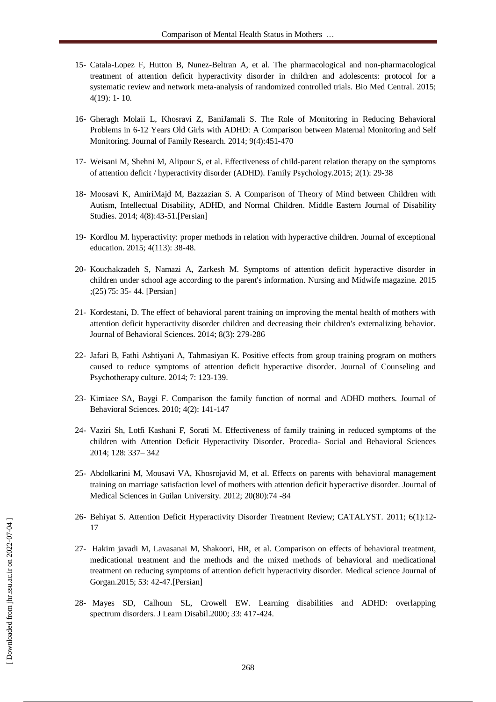- 15- Catala-Lopez F, Hutton B, Nunez-Beltran A, et al. The pharmacological and non-pharmacological treatment of attention deficit hyperactivity disorder in children and adolescents: protocol for a systematic review and network meta-analysis of randomized controlled trials. Bio Med Central. 2015; 4(19): 1- 10.
- 16- Gheragh Molaii L, Khosravi Z, BaniJamali S. The Role of Monitoring in Reducing Behavioral Problems in 6-12 Years Old Girls with ADHD: A Comparison between Maternal Monitoring and Self Monitoring. Journal of Family Research. 2014; 9(4):451-470
- 17- Weisani M, Shehni M, Alipour S, et al. Effectiveness of child-parent relation therapy on the symptoms of attention deficit / hyperactivity disorder (ADHD). Family Psychology.2015; 2(1): 29-38
- 18- Moosavi K, AmiriMajd M, Bazzazian S. A Comparison of Theory of Mind between Children with Autism, Intellectual Disability, ADHD, and Normal Children. Middle Eastern Journal of Disability Studies. 2014; 4(8):43-51.[Persian]
- 19- Kordlou M. hyperactivity: proper methods in relation with hyperactive children. Journal of exceptional education. 2015; 4(113): 38-48.
- 20- Kouchakzadeh S, Namazi A, Zarkesh M. Symptoms of attention deficit hyperactive disorder in children under school age according to the parent's information. Nursing and Midwife magazine. 2015 ;(25) 75: 35- 44. [Persian]
- 21- Kordestani, D. The effect of behavioral parent training on improving the mental health of mothers with attention deficit hyperactivity disorder children and decreasing their children's externalizing behavior. Journal of Behavioral Sciences. 2014; 8(3): 279-286
- 22- Jafari B, Fathi Ashtiyani A, Tahmasiyan K. Positive effects from group training program on mothers caused to reduce symptoms of attention deficit hyperactive disorder. Journal of Counseling and Psychotherapy culture. 2014; 7: 123-139.
- 23- Kimiaee SA, Baygi F. Comparison the family function of normal and ADHD mothers. Journal of Behavioral Sciences. 2010; 4(2): 141-147
- 24- Vaziri Sh, Lotfi Kashani F, Sorati M. Effectiveness of family training in reduced symptoms of the children with Attention Deficit Hyperactivity Disorder. Procedia- Social and Behavioral Sciences 2014; 128: 337– 342
- 25- Abdolkarini M, Mousavi VA, Khosrojavid M, et al. Effects on parents with behavioral management training on marriage satisfaction level of mothers with attention deficit hyperactive disorder. Journal of Medical Sciences in Guilan University. 2012; 20(80):74 -84
- 26- Behiyat S. Attention Deficit Hyperactivity Disorder Treatment Review; CATALYST. 2011; 6(1):12- 17
- 27- Hakim javadi M, Lavasanai M, Shakoori, HR, et al. Comparison on effects of behavioral treatment, medicational treatment and the methods and the mixed methods of behavioral and medicational treatment on reducing symptoms of attention deficit hyperactivity disorder. Medical science Journal of Gorgan.2015; 53: 42-47.[Persian]
- 28- Mayes SD, Calhoun SL, Crowell EW. Learning disabilities and ADHD: overlapping spectrum disorders. J Learn Disabil.2000; 33: 417-424.